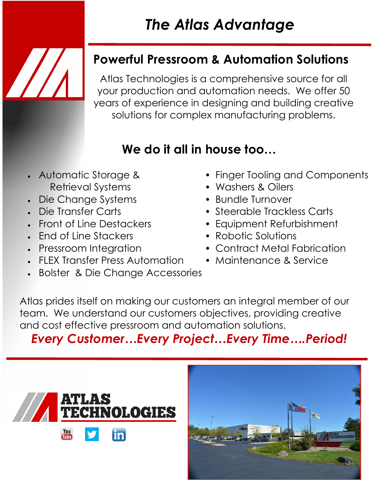## *The Atlas Advantage*

#### **Powerful Pressroom & Automation Solutions**

Atlas Technologies is a comprehensive source for all your production and automation needs. We offer 50 years of experience in designing and building creative solutions for complex manufacturing problems.

### **We do it all in house too…**

- Retrieval Systems Washers & Oilers
- Die Change Systems Bundle Turnover
- 
- 
- Fnd of Line Stackers Robotic Solutions
- 
- FLEX Transfer Press Automation Maintenance & Service
- Bolster & Die Change Accessories
- Automatic Storage & Finger Tooling and Components
	-
	-
- Die Transfer Carts Steerable Trackless Carts
- Front of Line Destackers Equipment Refurbishment
	-
	- Pressroom Integration Contract Metal Fabrication
		-

Atlas prides itself on making our customers an integral member of our team. We understand our customers objectives, providing creative and cost effective pressroom and automation solutions.

#### *Every Customer…Every Project…Every Time….Period!*